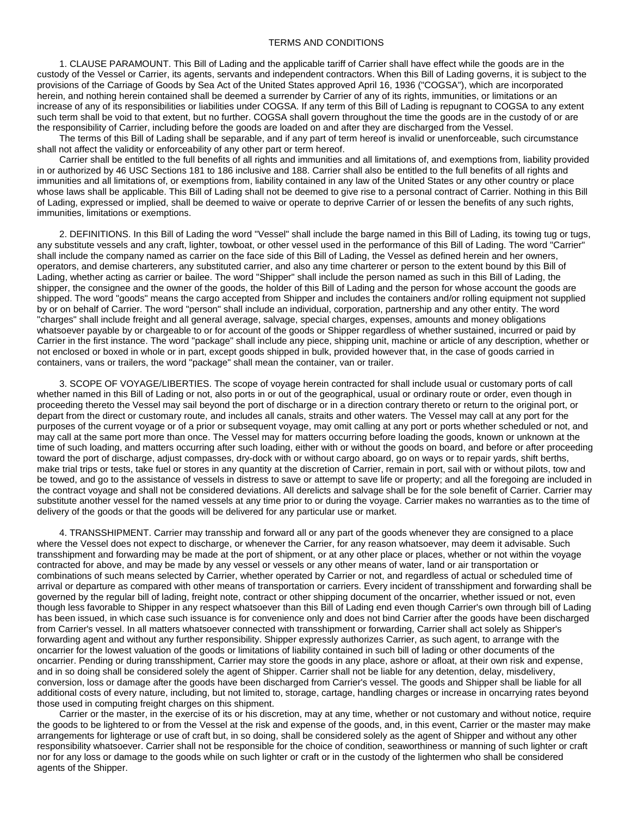## TERMS AND CONDITIONS

1. CLAUSE PARAMOUNT. This Bill of Lading and the applicable tariff of Carrier shall have effect while the goods are in the custody of the Vessel or Carrier, its agents, servants and independent contractors. When this Bill of Lading governs, it is subject to the provisions of the Carriage of Goods by Sea Act of the United States approved April 16, 1936 ("COGSA"), which are incorporated herein, and nothing herein contained shall be deemed a surrender by Carrier of any of its rights, immunities, or limitations or an increase of any of its responsibilities or liabilities under COGSA. If any term of this Bill of Lading is repugnant to COGSA to any extent such term shall be void to that extent, but no further. COGSA shall govern throughout the time the goods are in the custody of or are the responsibility of Carrier, including before the goods are loaded on and after they are discharged from the Vessel.

The terms of this Bill of Lading shall be separable, and if any part of term hereof is invalid or unenforceable, such circumstance shall not affect the validity or enforceability of any other part or term hereof.

Carrier shall be entitled to the full benefits of all rights and immunities and all limitations of, and exemptions from, liability provided in or authorized by 46 USC Sections 181 to 186 inclusive and 188. Carrier shall also be entitled to the full benefits of all rights and immunities and all limitations of, or exemptions from, liability contained in any law of the United States or any other country or place whose laws shall be applicable. This Bill of Lading shall not be deemed to give rise to a personal contract of Carrier. Nothing in this Bill of Lading, expressed or implied, shall be deemed to waive or operate to deprive Carrier of or lessen the benefits of any such rights, immunities, limitations or exemptions.

2. DEFINITIONS. In this Bill of Lading the word "Vessel" shall include the barge named in this Bill of Lading, its towing tug or tugs, any substitute vessels and any craft, lighter, towboat, or other vessel used in the performance of this Bill of Lading. The word "Carrier" shall include the company named as carrier on the face side of this Bill of Lading, the Vessel as defined herein and her owners, operators, and demise charterers, any substituted carrier, and also any time charterer or person to the extent bound by this Bill of Lading, whether acting as carrier or bailee. The word "Shipper" shall include the person named as such in this Bill of Lading, the shipper, the consignee and the owner of the goods, the holder of this Bill of Lading and the person for whose account the goods are shipped. The word "goods" means the cargo accepted from Shipper and includes the containers and/or rolling equipment not supplied by or on behalf of Carrier. The word "person" shall include an individual, corporation, partnership and any other entity. The word "charges" shall include freight and all general average, salvage, special charges, expenses, amounts and money obligations whatsoever payable by or chargeable to or for account of the goods or Shipper regardless of whether sustained, incurred or paid by Carrier in the first instance. The word "package" shall include any piece, shipping unit, machine or article of any description, whether or not enclosed or boxed in whole or in part, except goods shipped in bulk, provided however that, in the case of goods carried in containers, vans or trailers, the word "package" shall mean the container, van or trailer.

3. SCOPE OF VOYAGE/LIBERTIES. The scope of voyage herein contracted for shall include usual or customary ports of call whether named in this Bill of Lading or not, also ports in or out of the geographical, usual or ordinary route or order, even though in proceeding thereto the Vessel may sail beyond the port of discharge or in a direction contrary thereto or return to the original port, or depart from the direct or customary route, and includes all canals, straits and other waters. The Vessel may call at any port for the purposes of the current voyage or of a prior or subsequent voyage, may omit calling at any port or ports whether scheduled or not, and may call at the same port more than once. The Vessel may for matters occurring before loading the goods, known or unknown at the time of such loading, and matters occurring after such loading, either with or without the goods on board, and before or after proceeding toward the port of discharge, adjust compasses, dry-dock with or without cargo aboard, go on ways or to repair yards, shift berths, make trial trips or tests, take fuel or stores in any quantity at the discretion of Carrier, remain in port, sail with or without pilots, tow and be towed, and go to the assistance of vessels in distress to save or attempt to save life or property; and all the foregoing are included in the contract voyage and shall not be considered deviations. All derelicts and salvage shall be for the sole benefit of Carrier. Carrier may substitute another vessel for the named vessels at any time prior to or during the voyage. Carrier makes no warranties as to the time of delivery of the goods or that the goods will be delivered for any particular use or market.

4. TRANSSHIPMENT. Carrier may transship and forward all or any part of the goods whenever they are consigned to a place where the Vessel does not expect to discharge, or whenever the Carrier, for any reason whatsoever, may deem it advisable. Such transshipment and forwarding may be made at the port of shipment, or at any other place or places, whether or not within the voyage contracted for above, and may be made by any vessel or vessels or any other means of water, land or air transportation or combinations of such means selected by Carrier, whether operated by Carrier or not, and regardless of actual or scheduled time of arrival or departure as compared with other means of transportation or carriers. Every incident of transshipment and forwarding shall be governed by the regular bill of lading, freight note, contract or other shipping document of the oncarrier, whether issued or not, even though less favorable to Shipper in any respect whatsoever than this Bill of Lading end even though Carrier's own through bill of Lading has been issued, in which case such issuance is for convenience only and does not bind Carrier after the goods have been discharged from Carrier's vessel. In all matters whatsoever connected with transshipment or forwarding, Carrier shall act solely as Shipper's forwarding agent and without any further responsibility. Shipper expressly authorizes Carrier, as such agent, to arrange with the oncarrier for the lowest valuation of the goods or limitations of liability contained in such bill of lading or other documents of the oncarrier. Pending or during transshipment, Carrier may store the goods in any place, ashore or afloat, at their own risk and expense, and in so doing shall be considered solely the agent of Shipper. Carrier shall not be liable for any detention, delay, misdelivery, conversion, loss or damage after the goods have been discharged from Carrier's vessel. The goods and Shipper shall be liable for all additional costs of every nature, including, but not limited to, storage, cartage, handling charges or increase in oncarrying rates beyond those used in computing freight charges on this shipment.

Carrier or the master, in the exercise of its or his discretion, may at any time, whether or not customary and without notice, require the goods to be lightered to or from the Vessel at the risk and expense of the goods, and, in this event, Carrier or the master may make arrangements for lighterage or use of craft but, in so doing, shall be considered solely as the agent of Shipper and without any other responsibility whatsoever. Carrier shall not be responsible for the choice of condition, seaworthiness or manning of such lighter or craft nor for any loss or damage to the goods while on such lighter or craft or in the custody of the lightermen who shall be considered agents of the Shipper.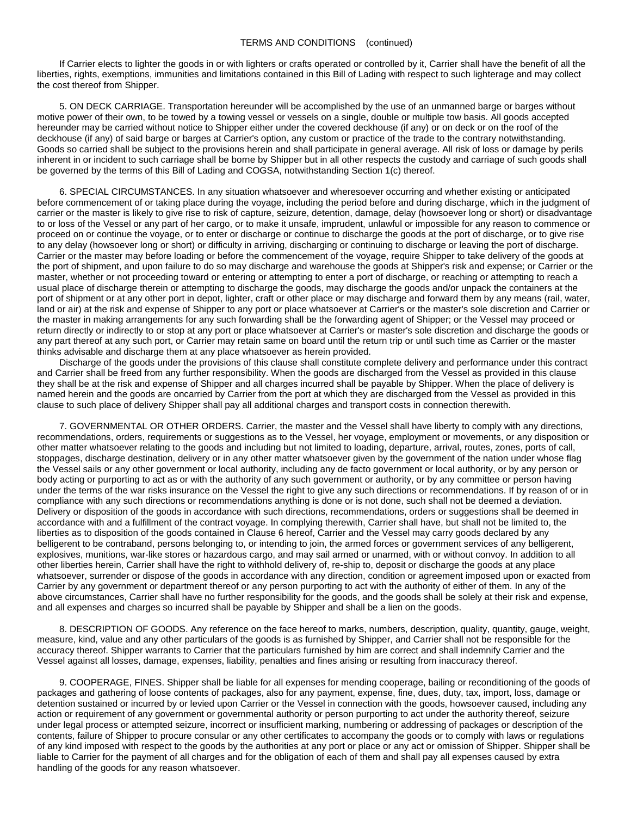## TERMS AND CONDITIONS (continued)

If Carrier elects to lighter the goods in or with lighters or crafts operated or controlled by it, Carrier shall have the benefit of all the liberties, rights, exemptions, immunities and limitations contained in this Bill of Lading with respect to such lighterage and may collect the cost thereof from Shipper.

5. ON DECK CARRIAGE. Transportation hereunder will be accomplished by the use of an unmanned barge or barges without motive power of their own, to be towed by a towing vessel or vessels on a single, double or multiple tow basis. All goods accepted hereunder may be carried without notice to Shipper either under the covered deckhouse (if any) or on deck or on the roof of the deckhouse (if any) of said barge or barges at Carrier's option, any custom or practice of the trade to the contrary notwithstanding. Goods so carried shall be subject to the provisions herein and shall participate in general average. All risk of loss or damage by perils inherent in or incident to such carriage shall be borne by Shipper but in all other respects the custody and carriage of such goods shall be governed by the terms of this Bill of Lading and COGSA, notwithstanding Section 1(c) thereof.

6. SPECIAL CIRCUMSTANCES. In any situation whatsoever and wheresoever occurring and whether existing or anticipated before commencement of or taking place during the voyage, including the period before and during discharge, which in the judgment of carrier or the master is likely to give rise to risk of capture, seizure, detention, damage, delay (howsoever long or short) or disadvantage to or loss of the Vessel or any part of her cargo, or to make it unsafe, imprudent, unlawful or impossible for any reason to commence or proceed on or continue the voyage, or to enter or discharge or continue to discharge the goods at the port of discharge, or to give rise to any delay (howsoever long or short) or difficulty in arriving, discharging or continuing to discharge or leaving the port of discharge. Carrier or the master may before loading or before the commencement of the voyage, require Shipper to take delivery of the goods at the port of shipment, and upon failure to do so may discharge and warehouse the goods at Shipper's risk and expense; or Carrier or the master, whether or not proceeding toward or entering or attempting to enter a port of discharge, or reaching or attempting to reach a usual place of discharge therein or attempting to discharge the goods, may discharge the goods and/or unpack the containers at the port of shipment or at any other port in depot, lighter, craft or other place or may discharge and forward them by any means (rail, water, land or air) at the risk and expense of Shipper to any port or place whatsoever at Carrier's or the master's sole discretion and Carrier or the master in making arrangements for any such forwarding shall be the forwarding agent of Shipper; or the Vessel may proceed or return directly or indirectly to or stop at any port or place whatsoever at Carrier's or master's sole discretion and discharge the goods or any part thereof at any such port, or Carrier may retain same on board until the return trip or until such time as Carrier or the master thinks advisable and discharge them at any place whatsoever as herein provided.

Discharge of the goods under the provisions of this clause shall constitute complete delivery and performance under this contract and Carrier shall be freed from any further responsibility. When the goods are discharged from the Vessel as provided in this clause they shall be at the risk and expense of Shipper and all charges incurred shall be payable by Shipper. When the place of delivery is named herein and the goods are oncarried by Carrier from the port at which they are discharged from the Vessel as provided in this clause to such place of delivery Shipper shall pay all additional charges and transport costs in connection therewith.

7. GOVERNMENTAL OR OTHER ORDERS. Carrier, the master and the Vessel shall have liberty to comply with any directions, recommendations, orders, requirements or suggestions as to the Vessel, her voyage, employment or movements, or any disposition or other matter whatsoever relating to the goods and including but not limited to loading, departure, arrival, routes, zones, ports of call, stoppages, discharge destination, delivery or in any other matter whatsoever given by the government of the nation under whose flag the Vessel sails or any other government or local authority, including any de facto government or local authority, or by any person or body acting or purporting to act as or with the authority of any such government or authority, or by any committee or person having under the terms of the war risks insurance on the Vessel the right to give any such directions or recommendations. If by reason of or in compliance with any such directions or recommendations anything is done or is not done, such shall not be deemed a deviation. Delivery or disposition of the goods in accordance with such directions, recommendations, orders or suggestions shall be deemed in accordance with and a fulfillment of the contract voyage. In complying therewith, Carrier shall have, but shall not be limited to, the liberties as to disposition of the goods contained in Clause 6 hereof, Carrier and the Vessel may carry goods declared by any belligerent to be contraband, persons belonging to, or intending to join, the armed forces or government services of any belligerent, explosives, munitions, war-like stores or hazardous cargo, and may sail armed or unarmed, with or without convoy. In addition to all other liberties herein, Carrier shall have the right to withhold delivery of, re-ship to, deposit or discharge the goods at any place whatsoever, surrender or dispose of the goods in accordance with any direction, condition or agreement imposed upon or exacted from Carrier by any government or department thereof or any person purporting to act with the authority of either of them. In any of the above circumstances, Carrier shall have no further responsibility for the goods, and the goods shall be solely at their risk and expense, and all expenses and charges so incurred shall be payable by Shipper and shall be a lien on the goods.

8. DESCRIPTION OF GOODS. Any reference on the face hereof to marks, numbers, description, quality, quantity, gauge, weight, measure, kind, value and any other particulars of the goods is as furnished by Shipper, and Carrier shall not be responsible for the accuracy thereof. Shipper warrants to Carrier that the particulars furnished by him are correct and shall indemnify Carrier and the Vessel against all losses, damage, expenses, liability, penalties and fines arising or resulting from inaccuracy thereof.

9. COOPERAGE, FINES. Shipper shall be liable for all expenses for mending cooperage, bailing or reconditioning of the goods of packages and gathering of loose contents of packages, also for any payment, expense, fine, dues, duty, tax, import, loss, damage or detention sustained or incurred by or levied upon Carrier or the Vessel in connection with the goods, howsoever caused, including any action or requirement of any government or governmental authority or person purporting to act under the authority thereof, seizure under legal process or attempted seizure, incorrect or insufficient marking, numbering or addressing of packages or description of the contents, failure of Shipper to procure consular or any other certificates to accompany the goods or to comply with laws or regulations of any kind imposed with respect to the goods by the authorities at any port or place or any act or omission of Shipper. Shipper shall be liable to Carrier for the payment of all charges and for the obligation of each of them and shall pay all expenses caused by extra handling of the goods for any reason whatsoever.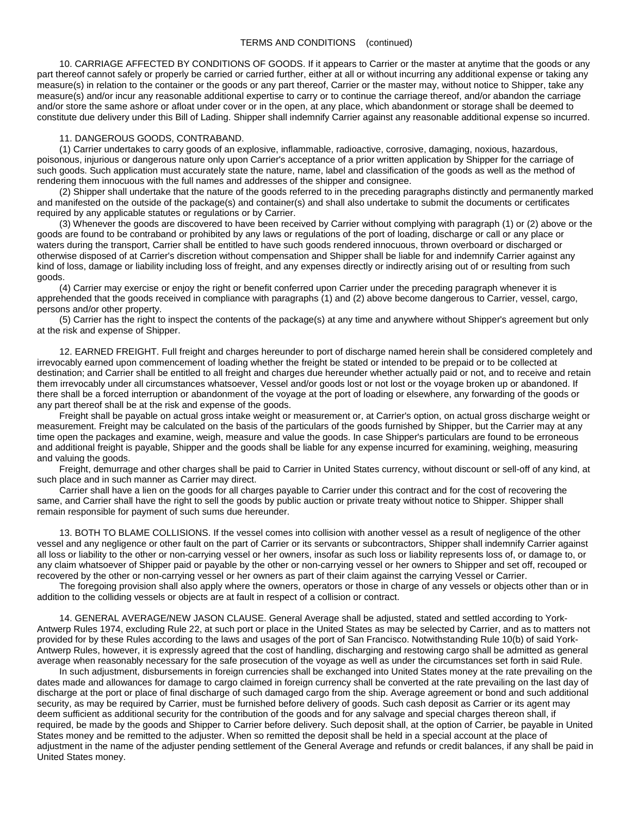10. CARRIAGE AFFECTED BY CONDITIONS OF GOODS. If it appears to Carrier or the master at anytime that the goods or any part thereof cannot safely or properly be carried or carried further, either at all or without incurring any additional expense or taking any measure(s) in relation to the container or the goods or any part thereof, Carrier or the master may, without notice to Shipper, take any measure(s) and/or incur any reasonable additional expertise to carry or to continue the carriage thereof, and/or abandon the carriage and/or store the same ashore or afloat under cover or in the open, at any place, which abandonment or storage shall be deemed to constitute due delivery under this Bill of Lading. Shipper shall indemnify Carrier against any reasonable additional expense so incurred.

#### 11. DANGEROUS GOODS, CONTRABAND.

(1) Carrier undertakes to carry goods of an explosive, inflammable, radioactive, corrosive, damaging, noxious, hazardous, poisonous, injurious or dangerous nature only upon Carrier's acceptance of a prior written application by Shipper for the carriage of such goods. Such application must accurately state the nature, name, label and classification of the goods as well as the method of rendering them innocuous with the full names and addresses of the shipper and consignee.

(2) Shipper shall undertake that the nature of the goods referred to in the preceding paragraphs distinctly and permanently marked and manifested on the outside of the package(s) and container(s) and shall also undertake to submit the documents or certificates required by any applicable statutes or regulations or by Carrier.

(3) Whenever the goods are discovered to have been received by Carrier without complying with paragraph (1) or (2) above or the goods are found to be contraband or prohibited by any laws or regulations of the port of loading, discharge or call or any place or waters during the transport, Carrier shall be entitled to have such goods rendered innocuous, thrown overboard or discharged or otherwise disposed of at Carrier's discretion without compensation and Shipper shall be liable for and indemnify Carrier against any kind of loss, damage or liability including loss of freight, and any expenses directly or indirectly arising out of or resulting from such goods.

(4) Carrier may exercise or enjoy the right or benefit conferred upon Carrier under the preceding paragraph whenever it is apprehended that the goods received in compliance with paragraphs (1) and (2) above become dangerous to Carrier, vessel, cargo, persons and/or other property.

(5) Carrier has the right to inspect the contents of the package(s) at any time and anywhere without Shipper's agreement but only at the risk and expense of Shipper.

12. EARNED FREIGHT. Full freight and charges hereunder to port of discharge named herein shall be considered completely and irrevocably earned upon commencement of loading whether the freight be stated or intended to be prepaid or to be collected at destination; and Carrier shall be entitled to all freight and charges due hereunder whether actually paid or not, and to receive and retain them irrevocably under all circumstances whatsoever, Vessel and/or goods lost or not lost or the voyage broken up or abandoned. If there shall be a forced interruption or abandonment of the voyage at the port of loading or elsewhere, any forwarding of the goods or any part thereof shall be at the risk and expense of the goods.

Freight shall be payable on actual gross intake weight or measurement or, at Carrier's option, on actual gross discharge weight or measurement. Freight may be calculated on the basis of the particulars of the goods furnished by Shipper, but the Carrier may at any time open the packages and examine, weigh, measure and value the goods. In case Shipper's particulars are found to be erroneous and additional freight is payable, Shipper and the goods shall be liable for any expense incurred for examining, weighing, measuring and valuing the goods.

Freight, demurrage and other charges shall be paid to Carrier in United States currency, without discount or sell-off of any kind, at such place and in such manner as Carrier may direct.

Carrier shall have a lien on the goods for all charges payable to Carrier under this contract and for the cost of recovering the same, and Carrier shall have the right to sell the goods by public auction or private treaty without notice to Shipper. Shipper shall remain responsible for payment of such sums due hereunder.

13. BOTH TO BLAME COLLISIONS. If the vessel comes into collision with another vessel as a result of negligence of the other vessel and any negligence or other fault on the part of Carrier or its servants or subcontractors, Shipper shall indemnify Carrier against all loss or liability to the other or non-carrying vessel or her owners, insofar as such loss or liability represents loss of, or damage to, or any claim whatsoever of Shipper paid or payable by the other or non-carrying vessel or her owners to Shipper and set off, recouped or recovered by the other or non-carrying vessel or her owners as part of their claim against the carrying Vessel or Carrier.

The foregoing provision shall also apply where the owners, operators or those in charge of any vessels or objects other than or in addition to the colliding vessels or objects are at fault in respect of a collision or contract.

14. GENERAL AVERAGE/NEW JASON CLAUSE. General Average shall be adjusted, stated and settled according to York-Antwerp Rules 1974, excluding Rule 22, at such port or place in the United States as may be selected by Carrier, and as to matters not provided for by these Rules according to the laws and usages of the port of San Francisco. Notwithstanding Rule 10(b) of said York-Antwerp Rules, however, it is expressly agreed that the cost of handling, discharging and restowing cargo shall be admitted as general average when reasonably necessary for the safe prosecution of the voyage as well as under the circumstances set forth in said Rule.

In such adjustment, disbursements in foreign currencies shall be exchanged into United States money at the rate prevailing on the dates made and allowances for damage to cargo claimed in foreign currency shall be converted at the rate prevailing on the last day of discharge at the port or place of final discharge of such damaged cargo from the ship. Average agreement or bond and such additional security, as may be required by Carrier, must be furnished before delivery of goods. Such cash deposit as Carrier or its agent may deem sufficient as additional security for the contribution of the goods and for any salvage and special charges thereon shall, if required, be made by the goods and Shipper to Carrier before delivery. Such deposit shall, at the option of Carrier, be payable in United States money and be remitted to the adjuster. When so remitted the deposit shall be held in a special account at the place of adjustment in the name of the adjuster pending settlement of the General Average and refunds or credit balances, if any shall be paid in United States money.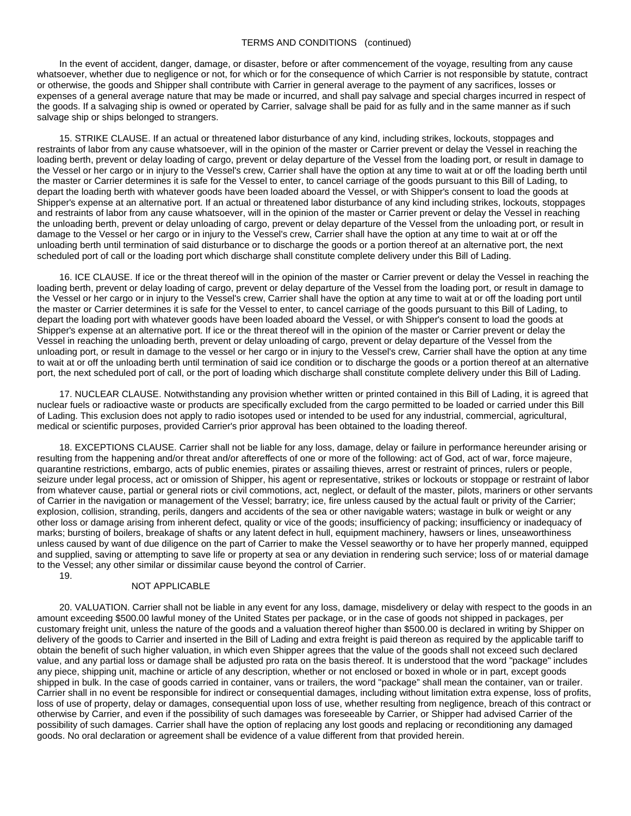# TERMS AND CONDITIONS (continued)

In the event of accident, danger, damage, or disaster, before or after commencement of the voyage, resulting from any cause whatsoever, whether due to negligence or not, for which or for the consequence of which Carrier is not responsible by statute, contract or otherwise, the goods and Shipper shall contribute with Carrier in general average to the payment of any sacrifices, losses or expenses of a general average nature that may be made or incurred, and shall pay salvage and special charges incurred in respect of the goods. If a salvaging ship is owned or operated by Carrier, salvage shall be paid for as fully and in the same manner as if such salvage ship or ships belonged to strangers.

15. STRIKE CLAUSE. If an actual or threatened labor disturbance of any kind, including strikes, lockouts, stoppages and restraints of labor from any cause whatsoever, will in the opinion of the master or Carrier prevent or delay the Vessel in reaching the loading berth, prevent or delay loading of cargo, prevent or delay departure of the Vessel from the loading port, or result in damage to the Vessel or her cargo or in injury to the Vessel's crew, Carrier shall have the option at any time to wait at or off the loading berth until the master or Carrier determines it is safe for the Vessel to enter, to cancel carriage of the goods pursuant to this Bill of Lading, to depart the loading berth with whatever goods have been loaded aboard the Vessel, or with Shipper's consent to load the goods at Shipper's expense at an alternative port. If an actual or threatened labor disturbance of any kind including strikes, lockouts, stoppages and restraints of labor from any cause whatsoever, will in the opinion of the master or Carrier prevent or delay the Vessel in reaching the unloading berth, prevent or delay unloading of cargo, prevent or delay departure of the Vessel from the unloading port, or result in damage to the Vessel or her cargo or in injury to the Vessel's crew, Carrier shall have the option at any time to wait at or off the unloading berth until termination of said disturbance or to discharge the goods or a portion thereof at an alternative port, the next scheduled port of call or the loading port which discharge shall constitute complete delivery under this Bill of Lading.

16. ICE CLAUSE. If ice or the threat thereof will in the opinion of the master or Carrier prevent or delay the Vessel in reaching the loading berth, prevent or delay loading of cargo, prevent or delay departure of the Vessel from the loading port, or result in damage to the Vessel or her cargo or in injury to the Vessel's crew, Carrier shall have the option at any time to wait at or off the loading port until the master or Carrier determines it is safe for the Vessel to enter, to cancel carriage of the goods pursuant to this Bill of Lading, to depart the loading port with whatever goods have been loaded aboard the Vessel, or with Shipper's consent to load the goods at Shipper's expense at an alternative port. If ice or the threat thereof will in the opinion of the master or Carrier prevent or delay the Vessel in reaching the unloading berth, prevent or delay unloading of cargo, prevent or delay departure of the Vessel from the unloading port, or result in damage to the vessel or her cargo or in injury to the Vessel's crew, Carrier shall have the option at any time to wait at or off the unloading berth until termination of said ice condition or to discharge the goods or a portion thereof at an alternative port, the next scheduled port of call, or the port of loading which discharge shall constitute complete delivery under this Bill of Lading.

17. NUCLEAR CLAUSE. Notwithstanding any provision whether written or printed contained in this Bill of Lading, it is agreed that nuclear fuels or radioactive waste or products are specifically excluded from the cargo permitted to be loaded or carried under this Bill of Lading. This exclusion does not apply to radio isotopes used or intended to be used for any industrial, commercial, agricultural, medical or scientific purposes, provided Carrier's prior approval has been obtained to the loading thereof.

18. EXCEPTIONS CLAUSE. Carrier shall not be liable for any loss, damage, delay or failure in performance hereunder arising or resulting from the happening and/or threat and/or aftereffects of one or more of the following: act of God, act of war, force majeure, quarantine restrictions, embargo, acts of public enemies, pirates or assailing thieves, arrest or restraint of princes, rulers or people, seizure under legal process, act or omission of Shipper, his agent or representative, strikes or lockouts or stoppage or restraint of labor from whatever cause, partial or general riots or civil commotions, act, neglect, or default of the master, pilots, mariners or other servants of Carrier in the navigation or management of the Vessel; barratry; ice, fire unless caused by the actual fault or privity of the Carrier; explosion, collision, stranding, perils, dangers and accidents of the sea or other navigable waters; wastage in bulk or weight or any other loss or damage arising from inherent defect, quality or vice of the goods; insufficiency of packing; insufficiency or inadequacy of marks; bursting of boilers, breakage of shafts or any latent defect in hull, equipment machinery, hawsers or lines, unseaworthiness unless caused by want of due diligence on the part of Carrier to make the Vessel seaworthy or to have her properly manned, equipped and supplied, saving or attempting to save life or property at sea or any deviation in rendering such service; loss of or material damage to the Vessel; any other similar or dissimilar cause beyond the control of Carrier.

#### NOT APPLICABLE

19.

20. VALUATION. Carrier shall not be liable in any event for any loss, damage, misdelivery or delay with respect to the goods in an amount exceeding \$500.00 lawful money of the United States per package, or in the case of goods not shipped in packages, per customary freight unit, unless the nature of the goods and a valuation thereof higher than \$500.00 is declared in writing by Shipper on delivery of the goods to Carrier and inserted in the Bill of Lading and extra freight is paid thereon as required by the applicable tariff to obtain the benefit of such higher valuation, in which even Shipper agrees that the value of the goods shall not exceed such declared value, and any partial loss or damage shall be adjusted pro rata on the basis thereof. It is understood that the word "package" includes any piece, shipping unit, machine or article of any description, whether or not enclosed or boxed in whole or in part, except goods shipped in bulk. In the case of goods carried in container, vans or trailers, the word "package" shall mean the container, van or trailer. Carrier shall in no event be responsible for indirect or consequential damages, including without limitation extra expense, loss of profits, loss of use of property, delay or damages, consequential upon loss of use, whether resulting from negligence, breach of this contract or otherwise by Carrier, and even if the possibility of such damages was foreseeable by Carrier, or Shipper had advised Carrier of the possibility of such damages. Carrier shall have the option of replacing any lost goods and replacing or reconditioning any damaged goods. No oral declaration or agreement shall be evidence of a value different from that provided herein.